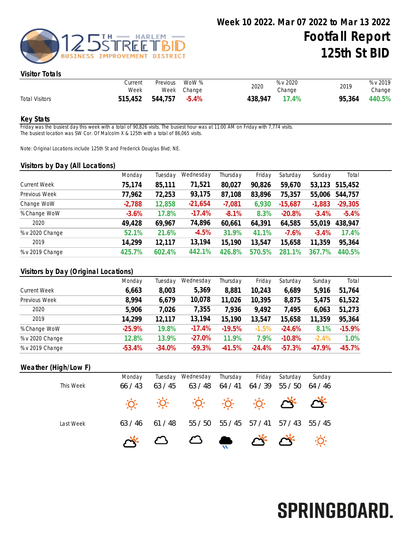

## Visitor Totals

|                       | Current<br>Week | Previous | WoW %<br>Week Change | 2020    | % v 2020<br>Change | 2019   | % v 2019<br>Change |
|-----------------------|-----------------|----------|----------------------|---------|--------------------|--------|--------------------|
| <b>Total Visitors</b> | 515,452         | 544,757  | $-5.4\%$             | 438,947 | 17.4%              | 95,364 | 440.5%             |

#### Key Stats

Friday was the busiest day this week with a total of 90,826 visits. The busiest hour was at 11:00 AM on Friday with 7,774 visits. The busiest location was SW Cor. Of Malcolm X & 125th with a total of 86,065 visits.

Note: Original Locations include 125th St and Frederick Douglas Blvd; NE.

### Visitors by Day (All Locations)

|                     | Monday   | Tuesday | Wednesday | Thursday | Friday | Saturday     | Sunday        | Total     |
|---------------------|----------|---------|-----------|----------|--------|--------------|---------------|-----------|
| <b>Current Week</b> | 75,174   | 85,111  | 71,521    | 80,027   | 90,826 | 59,670       | 53,123        | 515,452   |
| Previous Week       | 77,962   | 72,253  | 93,175    | 87,108   | 83,896 | 75,357       | 55,006        | 544,757   |
| Change WoW          | $-2,788$ | 12,858  | $-21,654$ | $-7,081$ | 6,930  | $-15,687$    | $-1,883$      | $-29,305$ |
| % Change WoW        | $-3.6%$  | 17.8%   | $-17.4%$  | $-8.1%$  | 8.3%   | $-20.8%$     | $-3.4%$       | $-5.4%$   |
| 2020                | 49,428   | 69,967  | 74,896    | 60,661   | 64,391 | 64,585       | 55,019        | 438,947   |
| % v 2020 Change     | 52.1%    | 21.6%   | $-4.5%$   | 31.9%    | 41.1%  | $-7.6%$      | $-3.4%$       | 17.4%     |
| 2019                | 14,299   | 12,117  | 13,194    | 15,190   | 13,547 | 15,658       | 11,359        | 95,364    |
| % v 2019 Change     | 425.7%   | 602.4%  | 442.1%    | 426.8%   | 570.5% | $1\%$<br>281 | $.7\%$<br>367 | 440.5%    |

#### Visitors by Day (Original Locations)

|                     | Monday   | Tuesday  | Wednesday | Thursday | Friday    | Saturday | Sunday   | Total    |
|---------------------|----------|----------|-----------|----------|-----------|----------|----------|----------|
| <b>Current Week</b> | 6,663    | 8,003    | 5,369     | 8,881    | 10,243    | 6,689    | 5,916    | 51,764   |
| Previous Week       | 8,994    | 6,679    | 10,078    | 11,026   | 10,395    | 8,875    | 5,475    | 61,522   |
| 2020                | 5,906    | 7,026    | 7,355     | 7,936    | 9,492     | 7,495    | 6,063    | 51,273   |
| 2019                | 14,299   | 12,117   | 13,194    | 15,190   | 13,547    | 15,658   | 11,359   | 95,364   |
| % Change WoW        | $-25.9%$ | 19.8%    | $-17.4%$  | $-19.5%$ | $-1.5%$   | $-24.6%$ | 8.1%     | $-15.9%$ |
| % v 2020 Change     | 12.8%    | 13.9%    | $-27.0%$  | 11.9%    | 7.9%      | $-10.8%$ | $-2.4%$  | 1.0%     |
| % v 2019 Change     | $-53.4%$ | $-34.0%$ | $-59.3%$  | $-41.5%$ | $-24.4\%$ | $-57.3%$ | $-47.9%$ | $-45.7%$ |

#### Weather (High/Low F)

| This Week | Monday<br>66/43 | Tuesday<br>63/45 | Wednesday<br>63/48                        | Thursday<br>64/41 | Friday<br>64 / 39 | Saturday<br>55/50 | Sunday<br>64/46 |
|-----------|-----------------|------------------|-------------------------------------------|-------------------|-------------------|-------------------|-----------------|
|           |                 |                  | <del>0. 0. 0. 0. 0. 0. 0.</del>           |                   |                   |                   |                 |
| Last Week | 63/46           | 61/48            | 55/50                                     | 55 / 45           | 57 / 41           | 57 / 43           | 55/45           |
|           |                 |                  | $\circ$ $\circ$ $\bullet$ $\circ$ $\circ$ |                   |                   |                   |                 |

# SPRINGBOARD.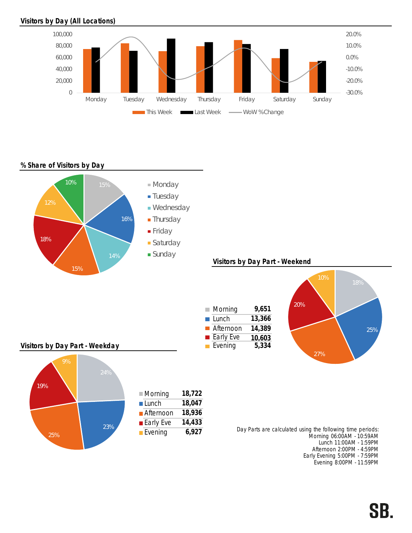## Visitors by Day (All Locations)



## % Share of Visitors by Day



Afternoon 2:00PM - 4:59PM Early Evening 5:00PM - 7:59PM Evening 8:00PM - 11:59PM

## SB.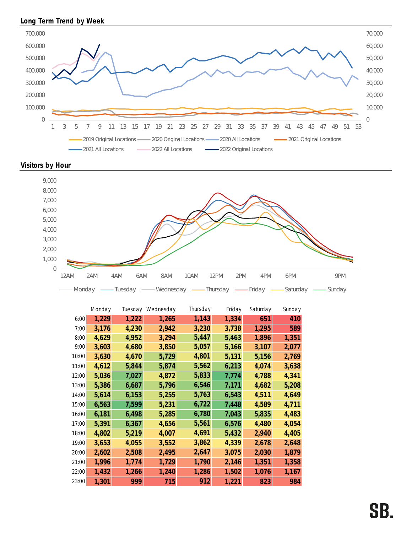## Long Term Trend by Week



Visitors by Hour



|       | Monday | Tuesday | Wednesday | Thursday | Friday | Saturday | Sunday |
|-------|--------|---------|-----------|----------|--------|----------|--------|
| 6:00  | 1,229  | 1,222   | 1,265     | 1,143    | 1,334  | 651      | 410    |
| 7:00  | 3,176  | 4,230   | 2,942     | 3,230    | 3,738  | 1,295    | 589    |
| 8:00  | 4,629  | 4,952   | 3,294     | 5,447    | 5,463  | 1,896    | 1,351  |
| 9:00  | 3,603  | 4,680   | 3,850     | 5,057    | 5,166  | 3,107    | 2,077  |
| 10:00 | 3,630  | 4,670   | 5,729     | 4,801    | 5,131  | 5,156    | 2,769  |
| 11:00 | 4,612  | 5,844   | 5,874     | 5,562    | 6,213  | 4,074    | 3,638  |
| 12:00 | 5,036  | 7,027   | 4,872     | 5,833    | 7,774  | 4,788    | 4,341  |
| 13:00 | 5,386  | 6,687   | 5,796     | 6,546    | 7,171  | 4,682    | 5,208  |
| 14:00 | 5,614  | 6,153   | 5,255     | 5,763    | 6,543  | 4,511    | 4,649  |
| 15:00 | 6,563  | 7,599   | 5,231     | 6,722    | 7,448  | 4,589    | 4,711  |
| 16:00 | 6,181  | 6,498   | 5,285     | 6,780    | 7,043  | 5,835    | 4,483  |
| 17:00 | 5,391  | 6,367   | 4,656     | 5,561    | 6,576  | 4,480    | 4,054  |
| 18:00 | 4,802  | 5,219   | 4,007     | 4,691    | 5,432  | 2,940    | 4,405  |
| 19:00 | 3,653  | 4,055   | 3,552     | 3,862    | 4,339  | 2,678    | 2,648  |
| 20:00 | 2,602  | 2,508   | 2,495     | 2,647    | 3,075  | 2,030    | 1,879  |
| 21:00 | 1,996  | 1,774   | 1,729     | 1,790    | 2,146  | 1,351    | 1,358  |
| 22:00 | 1,432  | 1,266   | 1,240     | 1,286    | 1,502  | 1,076    | 1,167  |
| 23:00 | 1,301  | 999     | 715       | 912      | 1,221  | 823      | 984    |